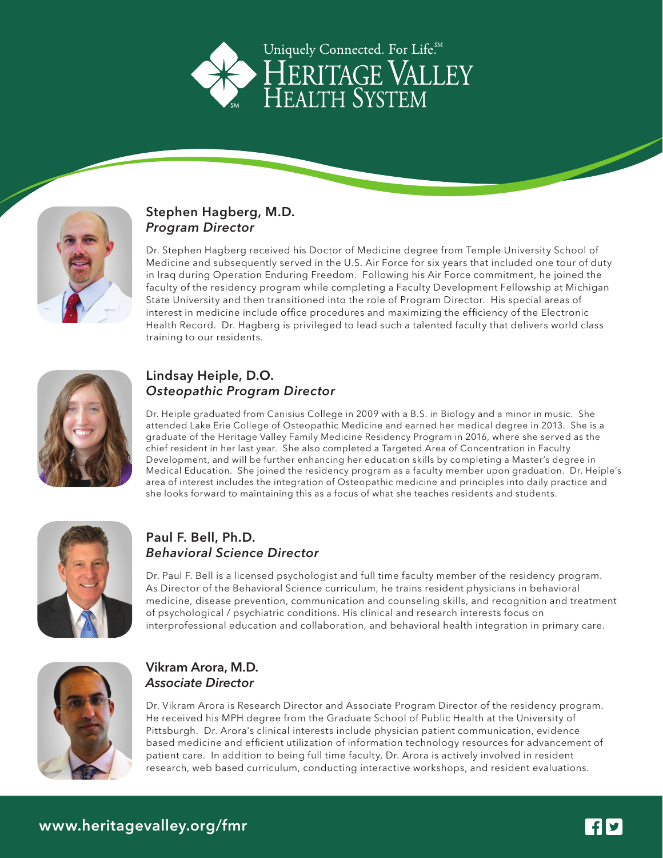



#### Stephen Hagberg, M.D. Program Director

Dr. Stephen Hagberg received his Doctor of Medicine degree from Temple University School of Medicine and subsequently served in the U.S. Air Force for six years that included one tour of duty in Iraq during Operation Enduring Freedom. Following his Air Force commitment, he joined the faculty of the residency program while completing a Faculty Development Fellowship at Michigan State University and then transitioned into the role of Program Director. His special areas of interest in medicine include office procedures and maximizing the efficiency of the Electronic Health Record. Dr. Hagberg is privileged to lead such a talented faculty that delivers world class training to our residents.



## Lindsay Heiple, D.O. Osteopathic Program Director

Dr. Heiple graduated from Canisius College in 2009 with a B.S. in Biology and a minor in music. She attended Lake Erie College of Osteopathic Medicine and earned her medical degree in 2013. She is a graduate of the Heritage Valley Family Medicine Residency Program in 2016, where she served as the chief resident in her last year. She also completed a Targeted Area of Concentration in Faculty Development, and will be further enhancing her education skills by completing a Master's degree in Medical Education. She joined the residency program as a faculty member upon graduation. Dr. Heiple's area of interest includes the integration of Osteopathic medicine and principles into daily practice and she looks forward to maintaining this as a focus of what she teaches residents and students.



# Paul F. Bell, Ph.D. Behavioral Science Director

Dr. Paul F. Bell is a licensed psychologist and full time faculty member of the residency program. As Director of the Behavioral Science curriculum, he trains resident physicians in behavioral medicine, disease prevention, communication and counseling skills, and recognition and treatment of psychological / psychiatric conditions. His clinical and research interests focus on interprofessional education and collaboration, and behavioral health integration in primary care.



#### Vikram Arora, M.D. Associate Director

Dr. Vikram Arora is Research Director and Associate Program Director of the residency program. He received his MPH degree from the Graduate School of Public Health at the University of Pittsburgh. Dr. Arora's clinical interests include physician patient communication, evidence based medicine and efficient utilization of information technology resources for advancement of patient care. In addition to being full time faculty, Dr. Arora is actively involved in resident research, web based curriculum, conducting interactive workshops, and resident evaluations.

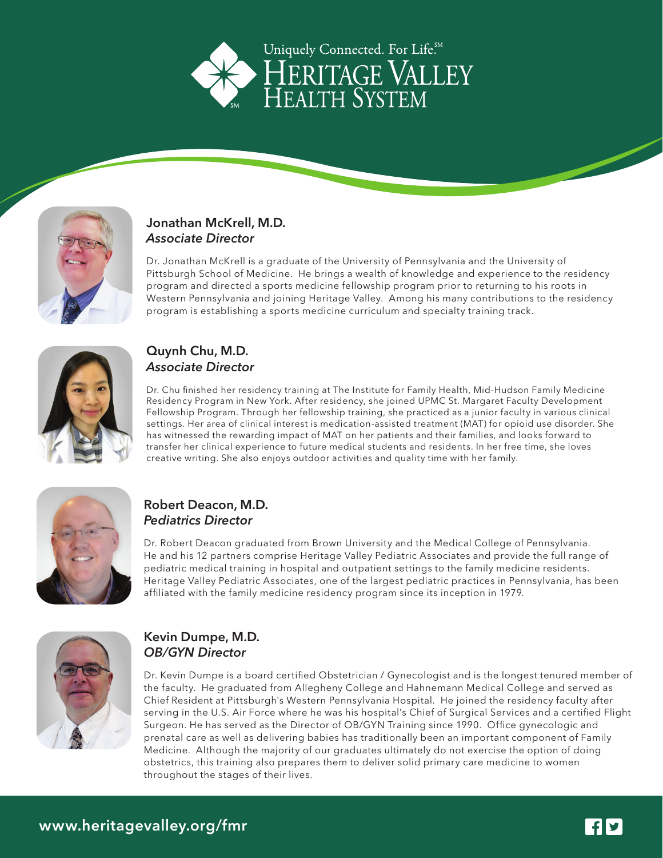



#### Jonathan McKrell, M.D. The faculty of the faculty of the faculty of the faculty of the faculty of the faculty of the faculty of the faculty of the faculty of the faculty of the faculty of the faculty of the faculty of the Associate Director where  $\mathcal{S}$  are was highered Flight of Surgical Services and a certified Flight of Surgical Services and a certified Flight of Surgical Services and a certified Flight of Surgical Services and a certi Johaman McNiell, M.D. Pennsylvania Hospital. He joined the residence faculty aftern Pennsylvania Hospital. He j

Kevin Dumpe, M.D.

Dr. Jonathan McKrell is a graduate of the University of Pennsylvania and the University of Pittsburgh School of Medicine. He brings a wealth of knowledge and experience to the residency program and directed a sports medicine fellowship program prior to returning to his roots in Western Pennsylvania and joining Heritage Valley. Among his many contributions to the residency program is establishing a sports medicine curriculum and specialty training track. Dr. Jonathan McKrell is a graduate of the University of Pennsylvania and the University of



## Quynh Chu, M.D. Associate Director

Dr. Chu finished her residency training at The Institute for Family Health, Mid-Hudson Family Medicine Residency Program in New York. After residency, she joined UPMC St. Margaret Faculty Development Fellowship Program. Through her fellowship training, she practiced as a junior faculty in various clinical settings. Her area of clinical interest is medication-assisted treatment (MAT) for opioid use disorder. She has witnessed the rewarding impact of MAT on her patients and their families, and looks forward to transfer her clinical experience to future medical students and residents. In her free time, she loves creative writing. She also enjoys outdoor activities and quality time with her family.



## Robert Deacon, M.D. Pediatrics Director

Dr. Robert Deacon graduated from Brown University and the Medical College of Pennsylvania. He and his 12 partners comprise Heritage Valley Pediatric Associates and provide the full range of pediatric medical training in hospital and outpatient settings to the family medicine residents. Heritage Valley Pediatric Associates, one of the largest pediatric practices in Pennsylvania, has been affiliated with the family medicine residency program since its inception in 1979.



# Kevin Dumpe, M.D. OB/GYN Director

Dr. Kevin Dumpe is a board certified Obstetrician / Gynecologist and is the longest tenured member of the faculty. He graduated from Allegheny College and Hahnemann Medical College and served as Chief Resident at Pittsburgh's Western Pennsylvania Hospital. He joined the residency faculty after serving in the U.S. Air Force where he was his hospital's Chief of Surgical Services and a certified Flight Surgeon. He has served as the Director of OB/GYN Training since 1990. Office gynecologic and prenatal care as well as delivering babies has traditionally been an important component of Family Medicine. Although the majority of our graduates ultimately do not exercise the option of doing obstetrics, this training also prepares them to deliver solid primary care medicine to women throughout the stages of their lives.